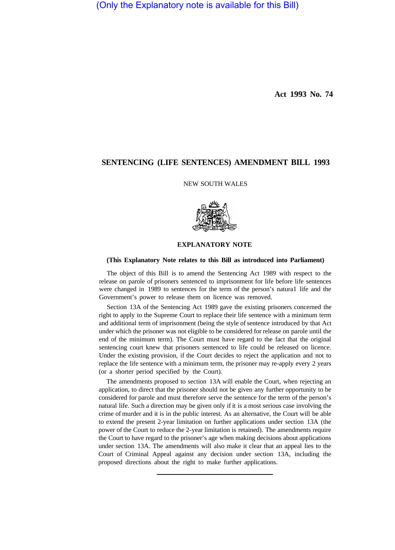(Only the Explanatory note is available for this Bill)

**Act 1993 No. 74** 

## **SENTENCING (LIFE SENTENCES) AMENDMENT BILL 1993**

NEW SOUTH WALES



## **EXPLANATORY NOTE**

## **(This Explanatory Note relates to this Bill as introduced into Parliament)**

The object of this Bill is to amend the Sentencing Act 1989 with respect to the release on parole of prisoners sentenced to imprisonment for life before life sentences were changed in 1989 to sentences for the term of the person's natura1 life and the Government's power to release them on licence was removed.

Section 13A of the Sentencing Act 1989 gave the existing prisoners concerned the right to apply to the Supreme Court to replace their life sentence with a minimum term and additional term of imprisonment (being the style of sentence introduced by that Act under which the prisoner was not eligible to be considered for release on parole until the end of the minimum term). The Court must have regard to the fact that the original sentencing court knew that prisoners sentenced to life could be released on licence. Under the existing provision, if the Court decides to reject the application and not to replace the life sentence with a minimum term, the prisoner may re-apply every 2 years (or a shorter period specified by the Court).

The amendments proposed to section 13A will enable the Court, when rejecting an application, to direct that the prisoner should not be given any further opportunity to be considered for parole and must therefore serve the sentence for the term of the person's natural life. Such a direction may be given only if it is a most serious case involving the crime of murder and it is in the public interest. As an alternative, the Court will be able to extend the present 2-year limitation on further applications under section 13A (the power of the Court to reduce the 2-year limitation is retained). The amendments require the Court to have regard to the prisoner's age when making decisions about applications under section 13A. The amendments will also make it clear that an appeal lies to the Court of Criminal Appeal against any decision under section 13A, including the proposed directions about the right to make further applications.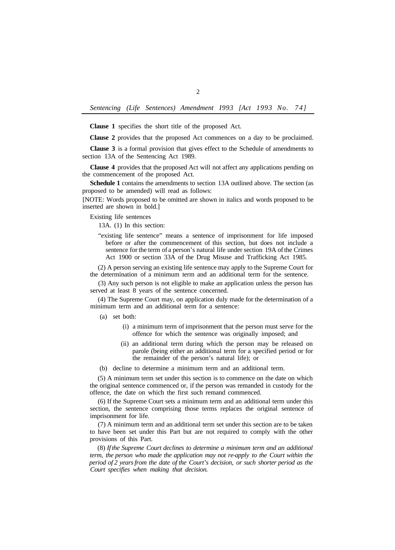*Sentencing (Life Sentences) Amendment I993 [Act 1993 No. 74]* 

**Clause 1** specifies the short title of the proposed Act.

**Clause 2** provides that the proposed Act commences on a day to be proclaimed.

**Clause 3** is a formal provision that gives effect to the Schedule of amendments to section 13A of the Sentencing Act 1989.

**Clause 4** provides that the proposed Act will not affect any applications pending on the commencement of the proposed Act.

**Schedule 1** contains the amendments to section 13A outlined above. The section (as proposed to be amended) will read as follows:

[NOTE: Words proposed to be omitted are shown in italics and words proposed to be inserted are shown in bold.]

Existing life sentences

13A. (1) In this section:

"existing life sentence" means a sentence of imprisonment for life imposed before or after the commencement of this section, but does not include a sentence for the term of a person's natural life under section 19A of the Crimes Act 1900 or section 33A of the Drug Misuse and Trafficking Act 1985.

(2) A person serving an existing life sentence may apply to the Supreme Court for the determination of a minimum term and an additional term for the sentence.

(3) Any such person is not eligible to make an application unless the person has served at least 8 years of the sentence concerned.

(4) The Supreme Court may, on application duly made for the determination of a minimum term and an additional term for a sentence:

- (a) set both:
	- (i) a minimum term of imprisonment that the person must serve for the offence for which the sentence was originally imposed; and
	- (ii) an additional term during which the person may be released on parole (being either an additional term for a specified period or for the remainder of the person's natural life); or
- (b) decline to determine a minimum term and an additional term.

(5) A minimum term set under this section is to commence on the date on which the original sentence commenced or, if the person was remanded in custody for the offence, the date on which the first such remand commenced.

(6) If the Supreme Court sets a minimum term and an additional term under this section, the sentence comprising those terms replaces the original sentence of imprisonment for life.

(7) A minimum term and an additional term set under this section are to be taken to have been set under this Part but are not required to comply with the other provisions of this Part.

(8) *If the Supreme Court declines to determine a minimum term and an additional term, the person who made the application may not re-apply to the Court within the period of 2 years from the date of the Court's decision, or such shorter period as the Court specifies when making that decision.*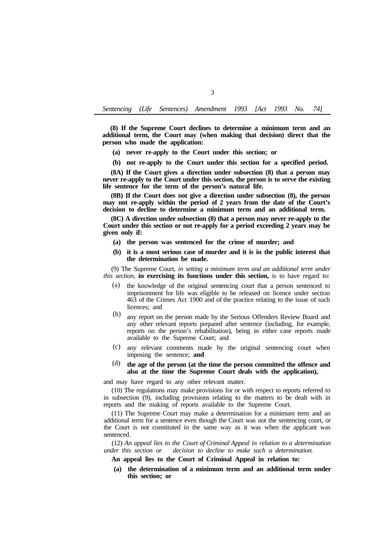**(8) If the Supreme Court declines to determine a minimum term and an additional term, the Court may (when making that decision) direct that the person who made the application:** 

- **(a) never re-apply to the Court under this section; or**
- **(b) not re-apply to the Court under this section for a specified period.**

**(8A) If the Court gives a direction under subsection (8) that a person may never re-apply to the Court under this section, the person is to serve the existing life sentence for the term of the person's natural life.** 

**(8B) If the Court does not give a direction under subsection (8), the person may not re-apply within the period of 2 years from the date of the Court's decision to decline to determine a minimum term and an additional term.** 

**(8C) A direction under subsection (8) that a person may never re-apply to the Court under this section or not re-apply for a period exceeding 2 years may be given only if:** 

- **(a) the person was sentenced for the crime of murder; and**
- **(b) it is a most serious case of murder and it is in the public interest that the determination be made.**

(9) The Supreme Court, *in setting a minimum term and an additional term under this section,* **in exercising its functions under this section,** is to have regard to:

- the knowledge of the original sentencing court that a person sentenced to imprisonment for life was eligible to be released on licence under section 463 of the Crimes Act 1900 and of the practice relating to the issue of such licences; and (a)
- any report on the person made by the Serious Offenders Review Board and any other relevant reports prepared after sentence (including, for example, reports on the person's rehabilitation), being in either case reports made available to the Supreme Court; and (b)
- any relevant comments made by the original sentencing court when (c) imposing the sentence; **and**
- **the age of the person (at the time the person committed the offence and also at the time the Supreme Court deals with the application),**  (d)

and may have regard to any other relevant matter.

(10) The regulations may make provisions for or with respect to reports referred to in subsection (9), including provisions relating to the matters to be dealt with in reports and the making of reports available to the Supreme Court.

(11) The Supreme Court may make a determination for a minimum term and an additional term for a sentence even though the Court was not the sentencing court, or the Court is not constituted in the same way as it was when the applicant was sentenced.

(12) *An appeal lies to the Court of Criminal Appeal in relation to a determination under this section or decision to decline to make such a determination.* 

- **An appeal lies to the Court of Criminal Appeal in relation to:**
- **(a) the determination of a minimum term and an additional term under this section; or**